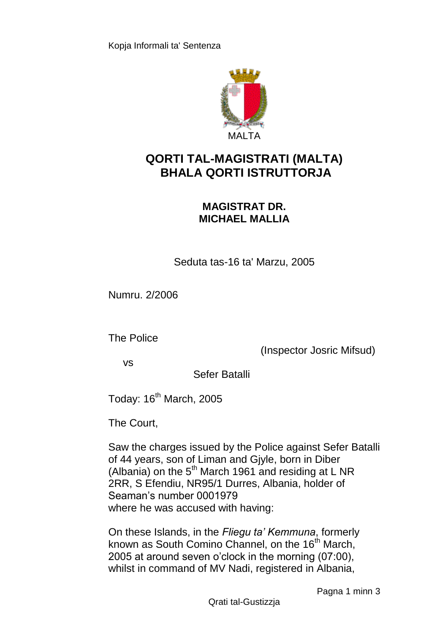

## **QORTI TAL-MAGISTRATI (MALTA) BHALA QORTI ISTRUTTORJA**

## **MAGISTRAT DR. MICHAEL MALLIA**

Seduta tas-16 ta' Marzu, 2005

Numru. 2/2006

The Police

(Inspector Josric Mifsud)

vs

Sefer Batalli

Today: 16<sup>th</sup> March, 2005

The Court,

Saw the charges issued by the Police against Sefer Batalli of 44 years, son of Liman and Gjyle, born in Diber (Albania) on the  $5<sup>th</sup>$  March 1961 and residing at L NR 2RR, S Efendiu, NR95/1 Durres, Albania, holder of Seaman's number 0001979 where he was accused with having:

On these Islands, in the *Fliegu ta' Kemmuna*, formerly known as South Comino Channel, on the 16<sup>th</sup> March, 2005 at around seven o'clock in the morning (07:00), whilst in command of MV Nadi, registered in Albania,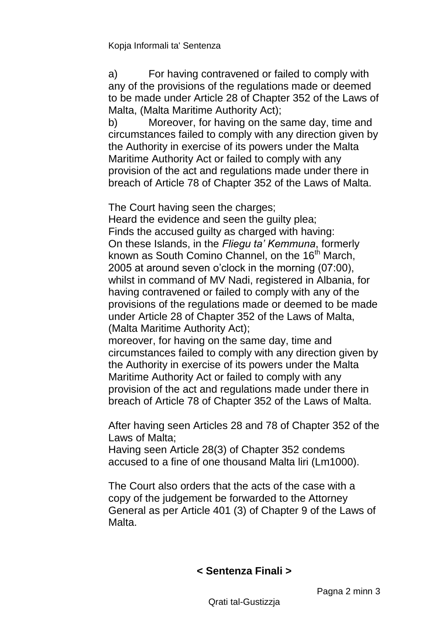Kopja Informali ta' Sentenza

a) For having contravened or failed to comply with any of the provisions of the regulations made or deemed to be made under Article 28 of Chapter 352 of the Laws of Malta, (Malta Maritime Authority Act);

b) Moreover, for having on the same day, time and circumstances failed to comply with any direction given by the Authority in exercise of its powers under the Malta Maritime Authority Act or failed to comply with any provision of the act and regulations made under there in breach of Article 78 of Chapter 352 of the Laws of Malta.

The Court having seen the charges;

Heard the evidence and seen the guilty plea; Finds the accused guilty as charged with having: On these Islands, in the *Fliegu ta' Kemmuna*, formerly known as South Comino Channel, on the 16<sup>th</sup> March. 2005 at around seven o'clock in the morning (07:00), whilst in command of MV Nadi, registered in Albania, for having contravened or failed to comply with any of the provisions of the regulations made or deemed to be made under Article 28 of Chapter 352 of the Laws of Malta, (Malta Maritime Authority Act);

moreover, for having on the same day, time and circumstances failed to comply with any direction given by the Authority in exercise of its powers under the Malta Maritime Authority Act or failed to comply with any provision of the act and regulations made under there in breach of Article 78 of Chapter 352 of the Laws of Malta.

After having seen Articles 28 and 78 of Chapter 352 of the Laws of Malta;

Having seen Article 28(3) of Chapter 352 condems accused to a fine of one thousand Malta liri (Lm1000).

The Court also orders that the acts of the case with a copy of the judgement be forwarded to the Attorney General as per Article 401 (3) of Chapter 9 of the Laws of Malta.

## **< Sentenza Finali >**